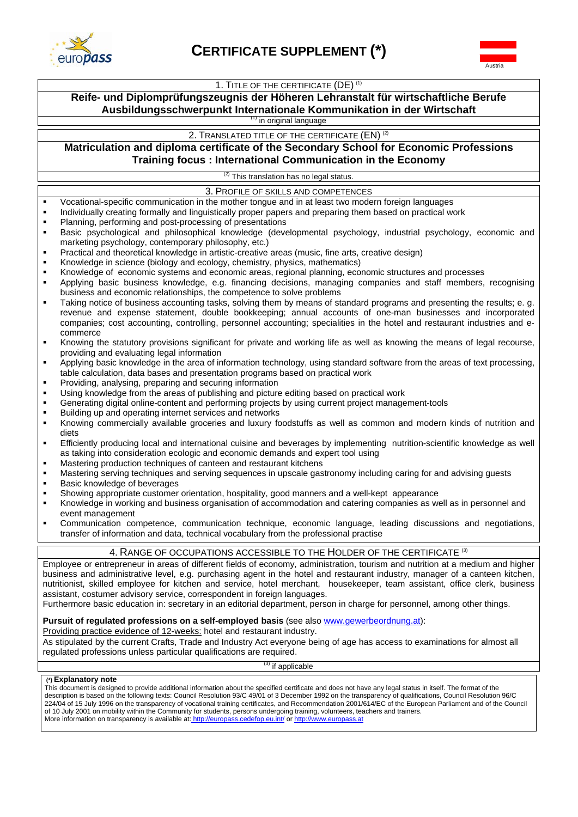



#### 1. TITLE OF THE CERTIFICATE (DE)<sup>(1)</sup>

# **Reife- und Diplomprüfungszeugnis der Höheren Lehranstalt für wirtschaftliche Berufe Ausbildungsschwerpunkt Internationale Kommunikation in der Wirtschaft**

<sup>(1)</sup> in original language

2. TRANSLATED TITLE OF THE CERTIFICATE (EN)<sup>(2)</sup>

# **Matriculation and diploma certificate of the Secondary School for Economic Professions Training focus : International Communication in the Economy**

This translation has no legal status.

3. PROFILE OF SKILLS AND COMPETENCES

- Vocational-specific communication in the mother tongue and in at least two modern foreign languages
- Individually creating formally and linguistically proper papers and preparing them based on practical work
- **Planning, performing and post-processing of presentations**
- Basic psychological and philosophical knowledge (developmental psychology, industrial psychology, economic and marketing psychology, contemporary philosophy, etc.)
- Practical and theoretical knowledge in artistic-creative areas (music, fine arts, creative design)
- Knowledge in science (biology and ecology, chemistry, physics, mathematics)
- Knowledge of economic systems and economic areas, regional planning, economic structures and processes
- Applying basic business knowledge, e.g. financing decisions, managing companies and staff members, recognising business and economic relationships, the competence to solve problems
- Taking notice of business accounting tasks, solving them by means of standard programs and presenting the results; e. g. revenue and expense statement, double bookkeeping; annual accounts of one-man businesses and incorporated companies; cost accounting, controlling, personnel accounting; specialities in the hotel and restaurant industries and ecommerce
- Knowing the statutory provisions significant for private and working life as well as knowing the means of legal recourse, providing and evaluating legal information
- Applying basic knowledge in the area of information technology, using standard software from the areas of text processing, table calculation, data bases and presentation programs based on practical work
- Providing, analysing, preparing and securing information
- Using knowledge from the areas of publishing and picture editing based on practical work
- Generating digital online-content and performing projects by using current project management-tools
- **Building up and operating internet services and networks**
- Knowing commercially available groceries and luxury foodstuffs as well as common and modern kinds of nutrition and diets
- Efficiently producing local and international cuisine and beverages by implementing nutrition-scientific knowledge as well as taking into consideration ecologic and economic demands and expert tool using
- Mastering production techniques of canteen and restaurant kitchens
- Mastering serving techniques and serving sequences in upscale gastronomy including caring for and advising guests
- Basic knowledge of beverages
- Showing appropriate customer orientation, hospitality, good manners and a well-kept appearance
- Knowledge in working and business organisation of accommodation and catering companies as well as in personnel and event management
- Communication competence, communication technique, economic language, leading discussions and negotiations, transfer of information and data, technical vocabulary from the professional practise

#### 4. RANGE OF OCCUPATIONS ACCESSIBLE TO THE HOLDER OF THE CERTIFICATE <sup>(3)</sup>

Employee or entrepreneur in areas of different fields of economy, administration, tourism and nutrition at a medium and higher business and administrative level, e.g. purchasing agent in the hotel and restaurant industry, manager of a canteen kitchen, nutritionist, skilled employee for kitchen and service, hotel merchant, housekeeper, team assistant, office clerk, business assistant, costumer advisory service, correspondent in foreign languages.

Furthermore basic education in: secretary in an editorial department, person in charge for personnel, among other things.

### Pursuit of regulated professions on a self-employed basis (see also www.gewerbeordnung.at):

Providing practice evidence of 12-weeks: hotel and restaurant industry.

As stipulated by the current Crafts, Trade and Industry Act everyone being of age has access to examinations for almost all regulated professions unless particular qualifications are required.

<sup>3)</sup> if applicable

#### **(\*) Explanatory note**

This document is designed to provide additional information about the specified certificate and does not have any legal status in itself. The format of the description is based on the following texts: Council Resolution 93/C 49/01 of 3 December 1992 on the transparency of qualifications, Council Resolution 96/C 224/04 of 15 July 1996 on the transparency of vocational training certificates, and Recommendation 2001/614/EC of the European Parliament and of the Council of 10 July 2001 on mobility within the Community for students, persons undergoing training, volunteers, teachers and trainers. More information on transparency is available at: http://europass.cedefop.eu.int/ or http://www.europass.at